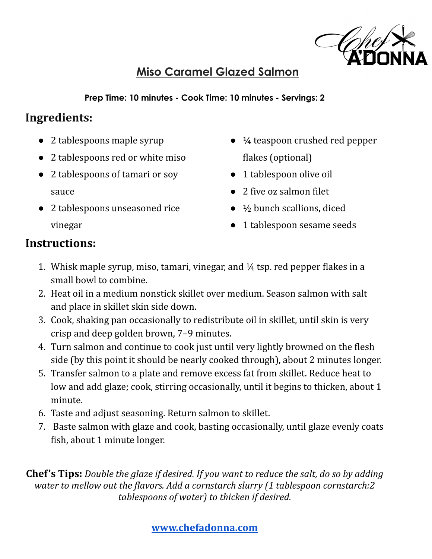

### **Miso Caramel Glazed Salmon**

**Prep Time: 10 minutes - Cook Time: 10 minutes - Servings: 2**

## **Ingredients:**

- 2 tablespoons maple syrup
- 2 tablespoons red or white miso
- 2 tablespoons of tamari or soy sauce
- 2 tablespoons unseasoned rice vinegar
- ¼ teaspoon crushed red pepper flakes (optional)
- 1 tablespoon olive oil
- 2 five oz salmon filet
- $\bullet$   $\frac{1}{2}$  bunch scallions, diced
- 1 tablespoon sesame seeds

## **Instructions:**

- 1. Whisk maple syrup, miso, tamari, vinegar, and ¼ tsp. red pepper flakes in a small bowl to combine.
- 2. Heat oil in a medium nonstick skillet over medium. Season salmon with salt and place in skillet skin side down.
- 3. Cook, shaking pan occasionally to redistribute oil in skillet, until skin is very crisp and deep golden brown, 7–9 minutes.
- 4. Turn salmon and continue to cook just until very lightly browned on the flesh side (by this point it should be nearly cooked through), about 2 minutes longer.
- 5. Transfer salmon to a plate and remove excess fat from skillet. Reduce heat to low and add glaze; cook, stirring occasionally, until it begins to thicken, about 1 minute.
- 6. Taste and adjust seasoning. Return salmon to skillet.
- 7. Baste salmon with glaze and cook, basting occasionally, until glaze evenly coats fish, about 1 minute longer.

**Chef's Tips:** *Double the glaze if desired. If you want to reduce the salt, do so by adding water to mellow out the flavors. Add a cornstarch slurry (1 tablespoon cornstarch:2 tablespoons of water) to thicken if desired.*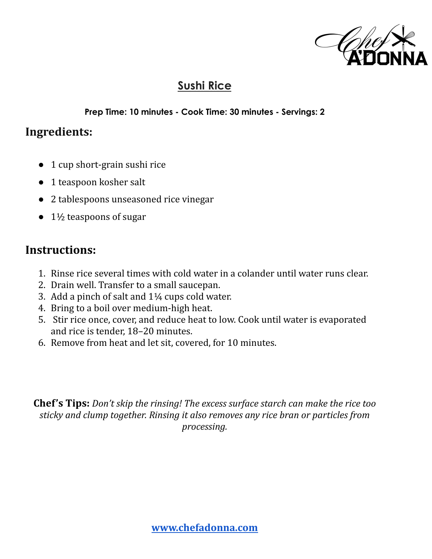

#### **Sushi Rice**

#### **Prep Time: 10 minutes - Cook Time: 30 minutes - Servings: 2**

#### **Ingredients:**

- 1 cup short-grain sushi rice
- 1 teaspoon kosher salt
- 2 tablespoons unseasoned rice vinegar
- $\bullet$  1½ teaspoons of sugar

#### **Instructions:**

- 1. Rinse rice several times with cold water in a colander until water runs clear.
- 2. Drain well. Transfer to a small saucepan.
- 3. Add a pinch of salt and 1¼ cups cold water.
- 4. Bring to a boil over medium-high heat.
- 5. Stir rice once, cover, and reduce heat to low. Cook until water is evaporated and rice is tender, 18–20 minutes.
- 6. Remove from heat and let sit, covered, for 10 minutes.

**Chef's Tips:** *Don't skip the rinsing! The excess surface starch can make the rice too sticky and clump together. Rinsing it also removes any rice bran or particles from processing.*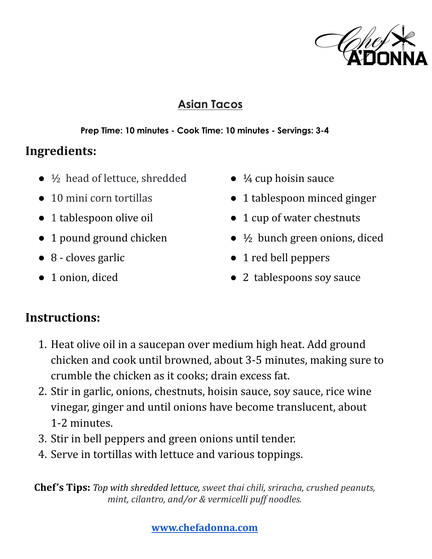

### **Asian Tacos**

#### **Prep Time: 10 minutes - Cook Time: 10 minutes - Servings: 3-4**

# **Ingredients:**

- $\bullet$   $\frac{1}{2}$  head of lettuce, shredded
- 10 mini corn tortillas
- 1 tablespoon olive oil
- 1 pound ground chicken
- 8 cloves garlic
- 1 onion, diced
- $\bullet$   $\frac{1}{4}$  cup hoisin sauce
- 1 tablespoon minced ginger
- 1 cup of water chestnuts
- $\bullet$   $\frac{1}{2}$  bunch green onions, diced
- 1 red bell peppers
- 2 tablespoons soy sauce

# **Instructions:**

- 1. Heat olive oil in a saucepan over medium high heat. Add ground chicken and cook until browned, about 3-5 minutes, making sure to crumble the chicken as it cooks; drain excess fat.
- 2. Stir in garlic, onions, chestnuts, hoisin sauce, soy sauce, rice wine vinegar, ginger and until onions have become translucent, about 1-2 minutes.
- 3. Stir in bell peppers and green onions until tender.
- 4. Serve in tortillas with lettuce and various toppings.

**Chef's Tips:** *Top with shredded lettuce, sweet thai chili, sriracha, crushed peanuts, mint, cilantro, and/or & vermicelli puf noodles.*